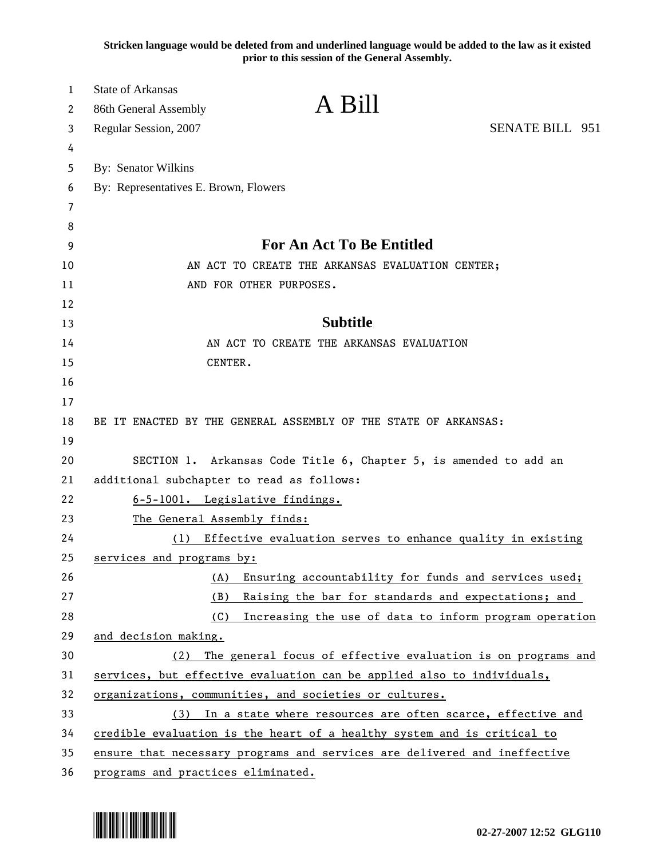**Stricken language would be deleted from and underlined language would be added to the law as it existed prior to this session of the General Assembly.**

| 1<br>2   | <b>State of Arkansas</b><br>86th General Assembly                                                                           | A Bill                                                       |                        |
|----------|-----------------------------------------------------------------------------------------------------------------------------|--------------------------------------------------------------|------------------------|
| 3        | Regular Session, 2007                                                                                                       |                                                              | <b>SENATE BILL 951</b> |
| 4        |                                                                                                                             |                                                              |                        |
| 5        | By: Senator Wilkins                                                                                                         |                                                              |                        |
| 6        | By: Representatives E. Brown, Flowers                                                                                       |                                                              |                        |
| 7        |                                                                                                                             |                                                              |                        |
| 8        |                                                                                                                             |                                                              |                        |
| 9        |                                                                                                                             | <b>For An Act To Be Entitled</b>                             |                        |
| 10       | AN ACT TO CREATE THE ARKANSAS EVALUATION CENTER;                                                                            |                                                              |                        |
| 11       | AND FOR OTHER PURPOSES.                                                                                                     |                                                              |                        |
| 12       |                                                                                                                             |                                                              |                        |
| 13       |                                                                                                                             | <b>Subtitle</b>                                              |                        |
| 14       |                                                                                                                             | AN ACT TO CREATE THE ARKANSAS EVALUATION                     |                        |
| 15       | CENTER.                                                                                                                     |                                                              |                        |
| 16       |                                                                                                                             |                                                              |                        |
| 17       |                                                                                                                             |                                                              |                        |
| 18       | BE IT ENACTED BY THE GENERAL ASSEMBLY OF THE STATE OF ARKANSAS:                                                             |                                                              |                        |
| 19       |                                                                                                                             |                                                              |                        |
| 20       | SECTION 1. Arkansas Code Title 6, Chapter 5, is amended to add an                                                           |                                                              |                        |
| 21       | additional subchapter to read as follows:                                                                                   |                                                              |                        |
| 22       | 6-5-1001. Legislative findings.                                                                                             |                                                              |                        |
| 23       | The General Assembly finds:                                                                                                 |                                                              |                        |
| 24       | (1)                                                                                                                         | Effective evaluation serves to enhance quality in existing   |                        |
| 25       | services and programs by:                                                                                                   |                                                              |                        |
| 26       | (A)                                                                                                                         | Ensuring accountability for funds and services used;         |                        |
| 27       | (B)                                                                                                                         | Raising the bar for standards and expectations; and          |                        |
| 28       | (C)                                                                                                                         | Increasing the use of data to inform program operation       |                        |
| 29       | and decision making.                                                                                                        |                                                              |                        |
| 30       | (2)                                                                                                                         | The general focus of effective evaluation is on programs and |                        |
| 31       | services, but effective evaluation can be applied also to individuals,                                                      |                                                              |                        |
| 32<br>33 | organizations, communities, and societies or cultures.<br>In a state where resources are often scarce, effective and<br>(3) |                                                              |                        |
| 34       | credible evaluation is the heart of a healthy system and is critical to                                                     |                                                              |                        |
| 35       | ensure that necessary programs and services are delivered and ineffective                                                   |                                                              |                        |
| 36       | programs and practices eliminated.                                                                                          |                                                              |                        |

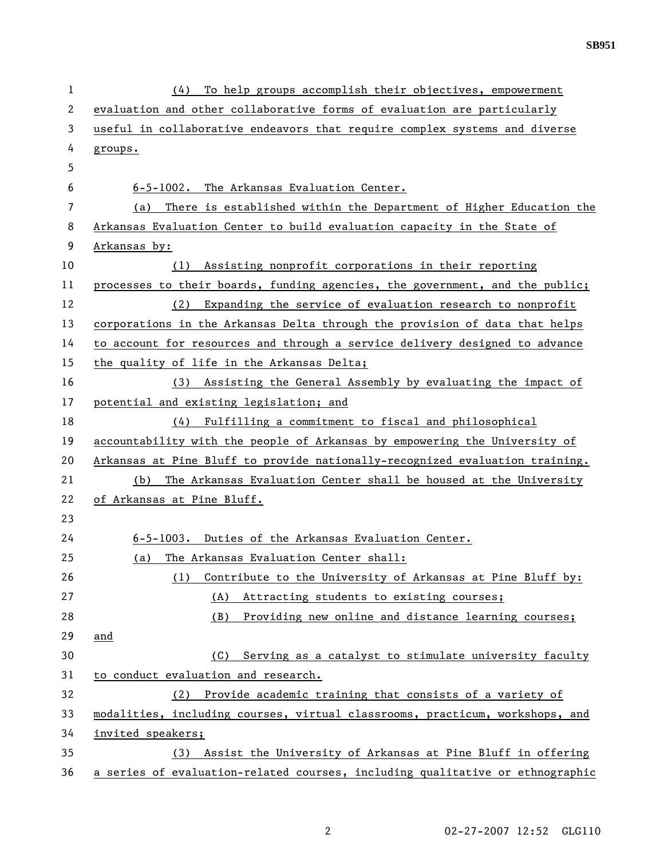| $\mathbf 1$  | To help groups accomplish their objectives, empowerment<br>(4)                |  |  |
|--------------|-------------------------------------------------------------------------------|--|--|
| $\mathbf{2}$ | evaluation and other collaborative forms of evaluation are particularly       |  |  |
| 3            | useful in collaborative endeavors that require complex systems and diverse    |  |  |
| 4            | groups.                                                                       |  |  |
| 5            |                                                                               |  |  |
| 6            | 6-5-1002. The Arkansas Evaluation Center.                                     |  |  |
| 7            | There is established within the Department of Higher Education the<br>(a)     |  |  |
| 8            | Arkansas Evaluation Center to build evaluation capacity in the State of       |  |  |
| 9            | Arkansas by:                                                                  |  |  |
| 10           | Assisting nonprofit corporations in their reporting<br>(1)                    |  |  |
| 11           | processes to their boards, funding agencies, the government, and the public;  |  |  |
| 12           | (2) Expanding the service of evaluation research to nonprofit                 |  |  |
| 13           | corporations in the Arkansas Delta through the provision of data that helps   |  |  |
| 14           | to account for resources and through a service delivery designed to advance   |  |  |
| 15           | the quality of life in the Arkansas Delta;                                    |  |  |
| 16           | Assisting the General Assembly by evaluating the impact of<br>(3)             |  |  |
| 17           | potential and existing legislation; and                                       |  |  |
| 18           | Fulfilling a commitment to fiscal and philosophical<br>(4)                    |  |  |
| 19           | accountability with the people of Arkansas by empowering the University of    |  |  |
| 20           | Arkansas at Pine Bluff to provide nationally-recognized evaluation training.  |  |  |
| 21           | The Arkansas Evaluation Center shall be housed at the University<br>(b)       |  |  |
| 22           | of Arkansas at Pine Bluff.                                                    |  |  |
| 23           |                                                                               |  |  |
| 24           | 6-5-1003. Duties of the Arkansas Evaluation Center.                           |  |  |
| 25           | The Arkansas Evaluation Center shall:<br>(a)                                  |  |  |
| 26           | Contribute to the University of Arkansas at Pine Bluff by:<br>(1)             |  |  |
| 27           | Attracting students to existing courses;<br>(A)                               |  |  |
| 28           | Providing new online and distance learning courses;<br>(B)                    |  |  |
| 29           | and                                                                           |  |  |
| 30           | Serving as a catalyst to stimulate university faculty<br>(C)                  |  |  |
| 31           | to conduct evaluation and research.                                           |  |  |
| 32           | Provide academic training that consists of a variety of<br>(2)                |  |  |
| 33           | modalities, including courses, virtual classrooms, practicum, workshops, and  |  |  |
| 34           | invited speakers;                                                             |  |  |
| 35           | Assist the University of Arkansas at Pine Bluff in offering<br>(3)            |  |  |
| 36           | a series of evaluation-related courses, including qualitative or ethnographic |  |  |